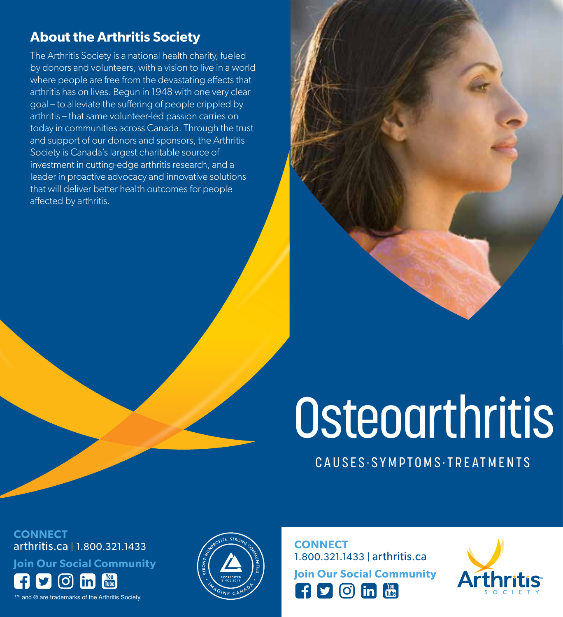# **About the Arthritis Society**

The Arthritis Society is a national health charity, fueled by donors and volunteers, with a vision to live in a world where people are free from the devastating effects that arthritis has on lives. Begun in 1948 with one very clear goal – to alleviate the suffering of people crippled by arthritis – that same volunteer-led passion carries on today in communities across Canada. Through the trust and support of our donors and sponsors, the Arthritis Society is Canada's largest charitable source of investment in cutting-edge arthritis research, and a leader in proactive advocacy and innovative solutions that will deliver better health outcomes for people affected by arthritis.

# **Osteoarthritis**

CAUSES·SYMPTOMS·TREATMENTS

**CONNECT** arthritis.ca | 1.800.321.1433

**Join Our Social Community**

 $|\mathbf{O}|$ 柵

™ and ® are trademarks of the Arthritis Society.



**CONNECT** 1.800.321.1433 | arthritis.ca **Join Our Social Community**

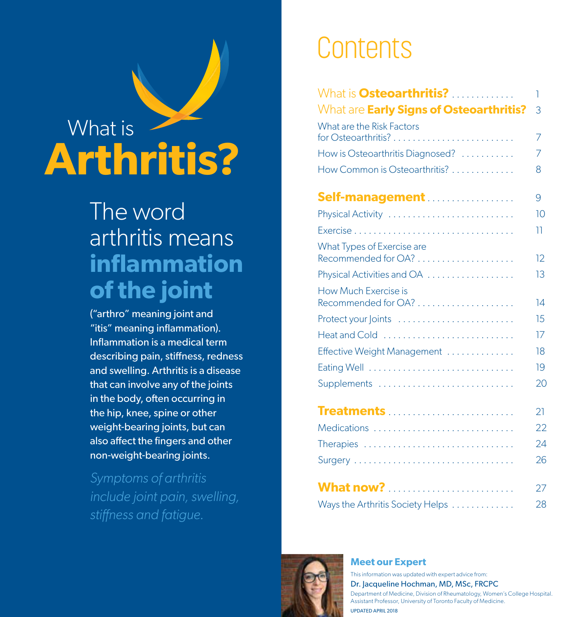# What is **Arthritis?**

# The word arthritis means **inflammation of the joint**

("arthro" meaning joint and "itis" meaning inflammation). Inflammation is a medical term describing pain, stiffness, redness and swelling. Arthritis is a disease that can involve any of the joints in the body, often occurring in the hip, knee, spine or other weight-bearing joints, but can also affect the fingers and other non-weight-bearing joints.

*Symptoms of arthritis include joint pain, swelling, stiffness and fatigue.*

# Contents

| What is <b>Osteoarthritis?</b>                    | 1  |
|---------------------------------------------------|----|
| What are Early Signs of Osteoarthritis?           | 3  |
| What are the Risk Factors                         | 7  |
| How is Osteoarthritis Diagnosed?                  | 7  |
| How Common is Osteoarthritis?                     | 8  |
| <b>Self-management</b>                            | 9  |
| Physical Activity                                 | 10 |
|                                                   | 11 |
| What Types of Exercise are<br>Recommended for OA? | 12 |
| Physical Activities and OA                        | 13 |
| How Much Exercise is<br>Recommended for OA?       | 14 |
| Protect your Joints                               | 15 |
| Heat and Cold                                     | 17 |
| Effective Weight Management                       | 18 |
| Eating Well                                       | 19 |
| Supplements                                       | 20 |
| Treatments                                        | 21 |
| Medications                                       | 22 |
| Therapies                                         | 24 |
|                                                   | 26 |
| <b>What now?</b>                                  | 27 |
| Ways the Arthritis Society Helps                  | 28 |



#### **Meet our Expert**

This information was updated with expert advice from:

Dr. Jacqueline Hochman, MD, MSc, FRCPC

Department of Medicine, Division of Rheumatology, Women's College Hospital. Assistant Professor, University of Toronto Faculty of Medicine. UPDATED APRIL 2018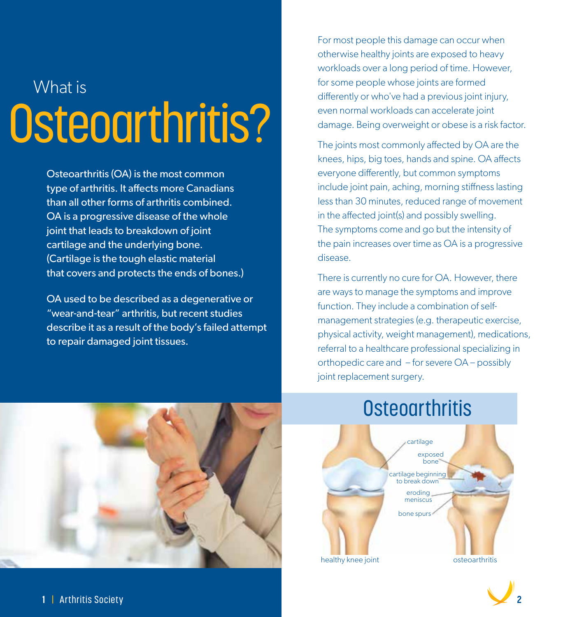# What is Osteoarthritis?

Osteoarthritis (OA) is the most common type of arthritis. It affects more Canadians than all other forms of arthritis combined. OA is a progressive disease of the whole joint that leads to breakdown of joint cartilage and the underlying bone. (Cartilage is the tough elastic material that covers and protects the ends of bones.)

OA used to be described as a degenerative or "wear-and-tear" arthritis, but recent studies describe it as a result of the body's failed attempt to repair damaged joint tissues.

For most people this damage can occur when otherwise healthy joints are exposed to heavy workloads over a long period of time. However, for some people whose joints are formed differently or who've had a previous joint injury, even normal workloads can accelerate joint damage. Being overweight or obese is a risk factor.

The joints most commonly affected by OA are the knees, hips, big toes, hands and spine. OA affects everyone differently, but common symptoms include joint pain, aching, morning stiffness lasting less than 30 minutes, reduced range of movement in the affected joint(s) and possibly swelling. The symptoms come and go but the intensity of the pain increases over time as OA is a progressive disease.

There is currently no cure for OA. However, there are ways to manage the symptoms and improve function. They include a combination of selfmanagement strategies (e.g. therapeutic exercise, physical activity, weight management), medications, referral to a healthcare professional specializing in orthopedic care and – for severe OA – possibly joint replacement surgery.



# **Osteoarthritis**

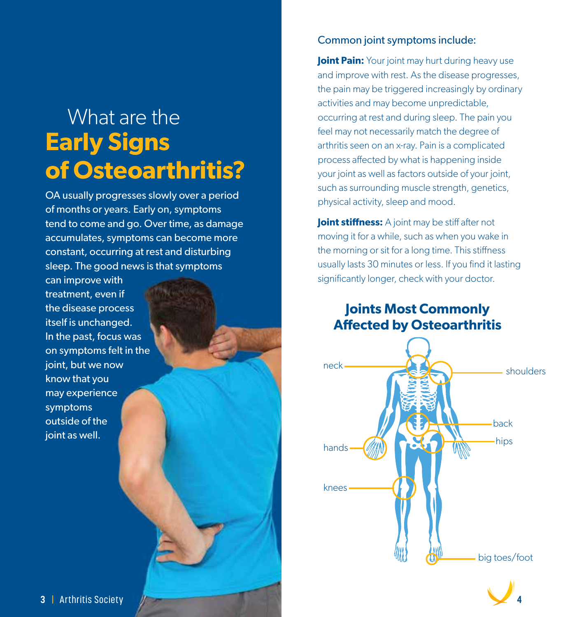# What are the **Early Signs of Osteoarthritis?**

OA usually progresses slowly over a period of months or years. Early on, symptoms tend to come and go. Over time, as damage accumulates, symptoms can become more constant, occurring at rest and disturbing sleep. The good news is that symptoms

can improve with treatment, even if the disease process itself is unchanged. In the past, focus was on symptoms felt in the joint, but we now know that you may experience symptoms outside of the joint as well.

#### Common joint symptoms include:

**Joint Pain:** Your joint may hurt during heavy use and improve with rest. As the disease progresses, the pain may be triggered increasingly by ordinary activities and may become unpredictable, occurring at rest and during sleep. The pain you feel may not necessarily match the degree of arthritis seen on an x-ray. Pain is a complicated process affected by what is happening inside your joint as well as factors outside of your joint, such as surrounding muscle strength, genetics, physical activity, sleep and mood.

**Joint stiffness:** A joint may be stiff after not moving it for a while, such as when you wake in the morning or sit for a long time. This stiffness usually lasts 30 minutes or less. If you find it lasting significantly longer, check with your doctor.

#### **Joints Most Commonly Affected by Osteoarthritis**



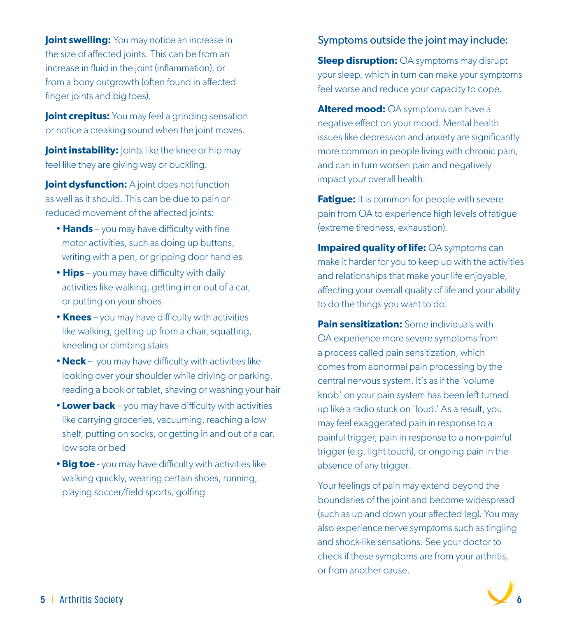**Joint swelling:** You may notice an increase in the size of affected joints. This can be from an increase in fluid in the joint (inflammation), or from a bony outgrowth (often found in affected finger joints and big toes).

**Joint crepitus:** You may feel a grinding sensation or notice a creaking sound when the joint moves.

**Joint instability:** Joints like the knee or hip may feel like they are giving way or buckling.

**Joint dysfunction:** A joint does not function as well as it should. This can be due to pain or reduced movement of the affected joints:

- **Hands** you may have difficulty with fine motor activities, such as doing up buttons, writing with a pen, or gripping door handles
- **Hips** you may have difficulty with daily activities like walking, getting in or out of a car, or putting on your shoes
- **Knees** you may have difficulty with activities like walking, getting up from a chair, squatting, kneeling or climbing stairs
- **Neck** you may have difficulty with activities like looking over your shoulder while driving or parking, reading a book or tablet, shaving or washing your hair
- **Lower back** you may have difficulty with activities like carrying groceries, vacuuming, reaching a low shelf, putting on socks, or getting in and out of a car, low sofa or bed
- **Big toe** you may have difficulty with activities like walking quickly, wearing certain shoes, running, playing soccer/field sports, golfing

#### Symptoms outside the joint may include:

**Sleep disruption:** OA symptoms may disrupt your sleep, which in turn can make your symptoms feel worse and reduce your capacity to cope.

**Altered mood:** OA symptoms can have a negative effect on your mood. Mental health issues like depression and anxiety are significantly more common in people living with chronic pain, and can in turn worsen pain and negatively impact your overall health.

**Fatigue:** It is common for people with severe pain from OA to experience high levels of fatigue (extreme tiredness, exhaustion).

**Impaired quality of life: OA symptoms can** make it harder for you to keep up with the activities and relationships that make your life enjoyable, affecting your overall quality of life and your ability to do the things you want to do.

**Pain sensitization:** Some individuals with OA experience more severe symptoms from a process called pain sensitization, which comes from abnormal pain processing by the central nervous system. It's as if the 'volume knob' on your pain system has been left turned up like a radio stuck on 'loud.' As a result, you may feel exaggerated pain in response to a painful trigger, pain in response to a non-painful trigger (e.g. light touch), or ongoing pain in the absence of any trigger.

Your feelings of pain may extend beyond the boundaries of the joint and become widespread (such as up and down your affected leg). You may also experience nerve symptoms such as tingling and shock-like sensations. See your doctor to check if these symptoms are from your arthritis, or from another cause.

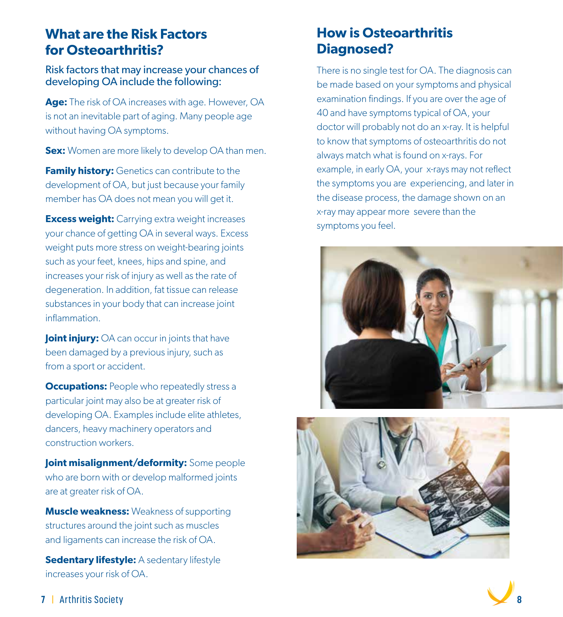#### **What are the Risk Factors for Osteoarthritis?**

Risk factors that may increase your chances of developing OA include the following:

**Age:** The risk of OA increases with age. However, OA is not an inevitable part of aging. Many people age without having OA symptoms.

**Sex:** Women are more likely to develop OA than men.

**Family history:** Genetics can contribute to the development of OA, but just because your family member has OA does not mean you will get it.

**Excess weight:** Carrying extra weight increases your chance of getting OA in several ways. Excess weight puts more stress on weight-bearing joints such as your feet, knees, hips and spine, and increases your risk of injury as well as the rate of degeneration. In addition, fat tissue can release substances in your body that can increase joint inflammation.

**Joint injury:** OA can occur in joints that have been damaged by a previous injury, such as from a sport or accident.

**Occupations:** People who repeatedly stress a particular joint may also be at greater risk of developing OA. Examples include elite athletes, dancers, heavy machinery operators and construction workers.

**Joint misalignment/deformity:** Some people who are born with or develop malformed joints are at greater risk of OA.

**Muscle weakness:** Weakness of supporting structures around the joint such as muscles and ligaments can increase the risk of OA.

**Sedentary lifestyle:** A sedentary lifestyle increases your risk of OA.

## **How is Osteoarthritis Diagnosed?**

There is no single test for OA. The diagnosis can be made based on your symptoms and physical examination findings. If you are over the age of 40 and have symptoms typical of OA, your doctor will probably not do an x-ray. It is helpful to know that symptoms of osteoarthritis do not always match what is found on x-rays. For example, in early OA, your x-rays may not reflect the symptoms you are experiencing, and later in the disease process, the damage shown on an x-ray may appear more severe than the symptoms you feel.





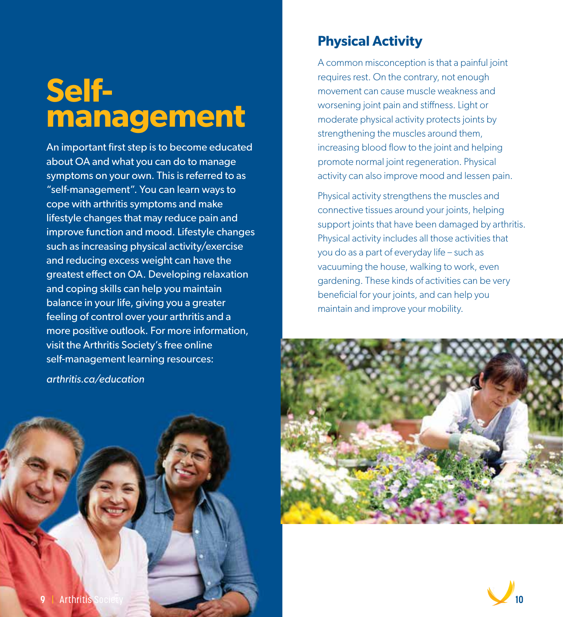# **Selfmanagement**

An important first step is to become educated about OA and what you can do to manage symptoms on your own. This is referred to as "self-management". You can learn ways to cope with arthritis symptoms and make lifestyle changes that may reduce pain and improve function and mood. Lifestyle changes such as increasing physical activity/exercise and reducing excess weight can have the greatest effect on OA. Developing relaxation and coping skills can help you maintain balance in your life, giving you a greater feeling of control over your arthritis and a more positive outlook. For more information, visit the Arthritis Society's free online self-management learning resources:

**Physical Activity**

A common misconception is that a painful joint requires rest. On the contrary, not enough movement can cause muscle weakness and worsening joint pain and stiffness. Light or moderate physical activity protects joints by strengthening the muscles around them, increasing blood flow to the joint and helping promote normal joint regeneration. Physical activity can also improve mood and lessen pain.

Physical activity strengthens the muscles and connective tissues around your joints, helping support joints that have been damaged by arthritis. Physical activity includes all those activities that you do as a part of everyday life – such as vacuuming the house, walking to work, even gardening. These kinds of activities can be very beneficial for your joints, and can help you maintain and improve your mobility.





*arthritis.ca/education*

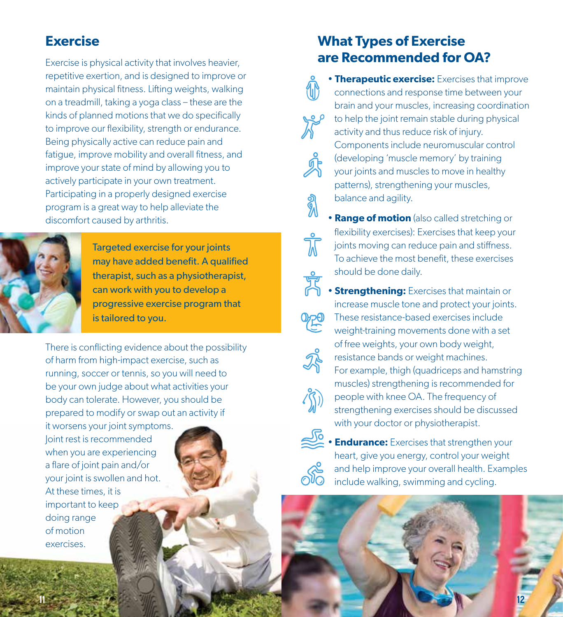### **Exercise**

Exercise is physical activity that involves heavier, repetitive exertion, and is designed to improve or maintain physical fitness. Lifting weights, walking on a treadmill, taking a yoga class – these are the kinds of planned motions that we do specifically to improve our flexibility, strength or endurance. Being physically active can reduce pain and fatigue, improve mobility and overall fitness, and improve your state of mind by allowing you to actively participate in your own treatment. Participating in a properly designed exercise program is a great way to help alleviate the discomfort caused by arthritis.



 Targeted exercise for your joints may have added benefit. A qualified therapist, such as a physiotherapist, can work with you to develop a progressive exercise program that is tailored to you.

There is conflicting evidence about the possibility of harm from high-impact exercise, such as running, soccer or tennis, so you will need to be your own judge about what activities your body can tolerate. However, you should be prepared to modify or swap out an activity if

it worsens your joint symptoms. Joint rest is recommended when you are experiencing a flare of joint pain and/or your joint is swollen and hot. At these times, it is important to keep doing range of motion exercises.

### **What Types of Exercise are Recommended for OA?**

- **Therapeutic exercise:** Exercises that improve connections and response time between your brain and your muscles, increasing coordination to help the joint remain stable during physical activity and thus reduce risk of injury. Components include neuromuscular control (developing 'muscle memory' by training your joints and muscles to move in healthy patterns), strengthening your muscles, balance and agility.
- **Range of motion** (also called stretching or flexibility exercises): Exercises that keep your<br>joints moving can reduce pain and stiffness. joints moving can reduce pain and stiffness. To achieve the most benefit, these exercises should be done daily.

• **Strengthening:** Exercises that maintain or





**Endurance:** Exercises that strengthen your heart, give you energy, control your weight and help improve your overall health. Examples include walking, swimming and cycling.

**12 12 12 12 12 12 12**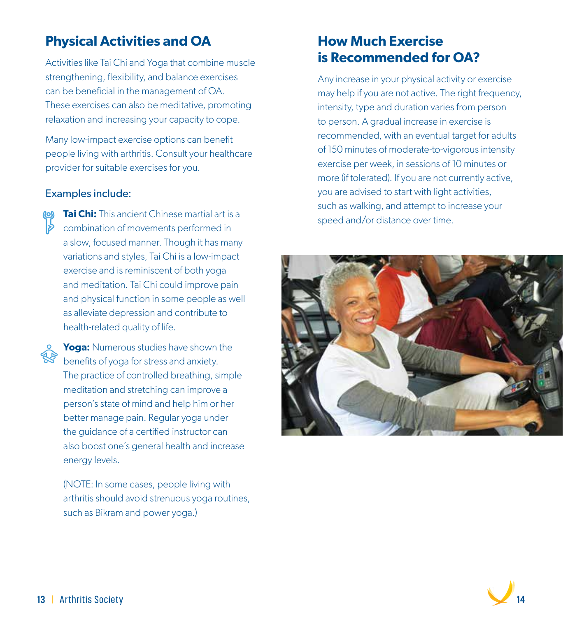## **Physical Activities and OA**

Activities like Tai Chi and Yoga that combine muscle strengthening, flexibility, and balance exercises can be beneficial in the management of OA. These exercises can also be meditative, promoting relaxation and increasing your capacity to cope.

Many low-impact exercise options can benefit people living with arthritis. Consult your healthcare provider for suitable exercises for you.

#### Examples include:

- **Tai Chi:** This ancient Chinese martial art is a combination of movements performed in a slow, focused manner. Though it has many variations and styles, Tai Chi is a low-impact exercise and is reminiscent of both yoga and meditation. Tai Chi could improve pain and physical function in some people as well as alleviate depression and contribute to health-related quality of life.
	- **Yoga:** Numerous studies have shown the benefits of yoga for stress and anxiety. The practice of controlled breathing, simple meditation and stretching can improve a person's state of mind and help him or her better manage pain. Regular yoga under the guidance of a certified instructor can also boost one's general health and increase energy levels.

 (NOTE: In some cases, people living with arthritis should avoid strenuous yoga routines, such as Bikram and power yoga.)

#### **How Much Exercise is Recommended for OA?**

Any increase in your physical activity or exercise may help if you are not active. The right frequency, intensity, type and duration varies from person to person. A gradual increase in exercise is recommended, with an eventual target for adults of 150 minutes of moderate-to-vigorous intensity exercise per week, in sessions of 10 minutes or more (if tolerated). If you are not currently active, you are advised to start with light activities, such as walking, and attempt to increase your speed and/or distance over time.



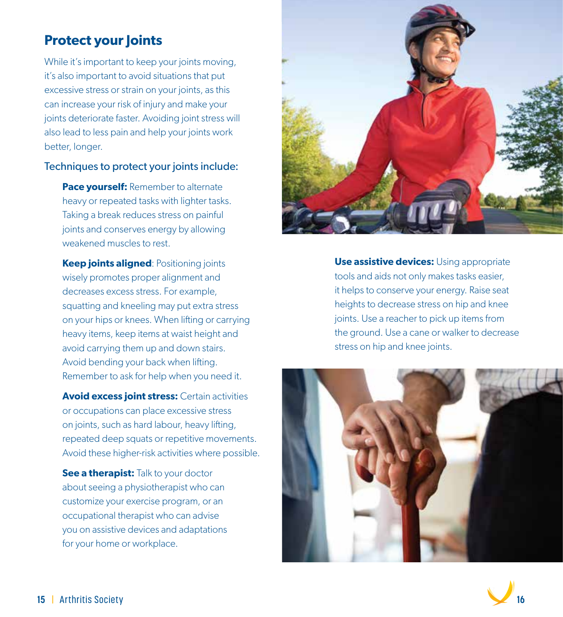## **Protect your Joints**

While it's important to keep your joints moving, it's also important to avoid situations that put excessive stress or strain on your joints, as this can increase your risk of injury and make your joints deteriorate faster. Avoiding joint stress will also lead to less pain and help your joints work better, longer.

#### Techniques to protect your joints include:

**Pace yourself:** Remember to alternate heavy or repeated tasks with lighter tasks. Taking a break reduces stress on painful joints and conserves energy by allowing weakened muscles to rest.

**Keep joints aligned: Positioning joints**  wisely promotes proper alignment and decreases excess stress. For example, squatting and kneeling may put extra stress on your hips or knees. When lifting or carrying heavy items, keep items at waist height and avoid carrying them up and down stairs. Avoid bending your back when lifting. Remember to ask for help when you need it.

 **Avoid excess joint stress:** Certain activities or occupations can place excessive stress on joints, such as hard labour, heavy lifting, repeated deep squats or repetitive movements. Avoid these higher-risk activities where possible.

**See a therapist:** Talk to your doctor about seeing a physiotherapist who can customize your exercise program, or an occupational therapist who can advise you on assistive devices and adaptations for your home or workplace.



**Use assistive devices:** Using appropriate tools and aids not only makes tasks easier, it helps to conserve your energy. Raise seat heights to decrease stress on hip and knee joints. Use a reacher to pick up items from the ground. Use a cane or walker to decrease stress on hip and knee joints.



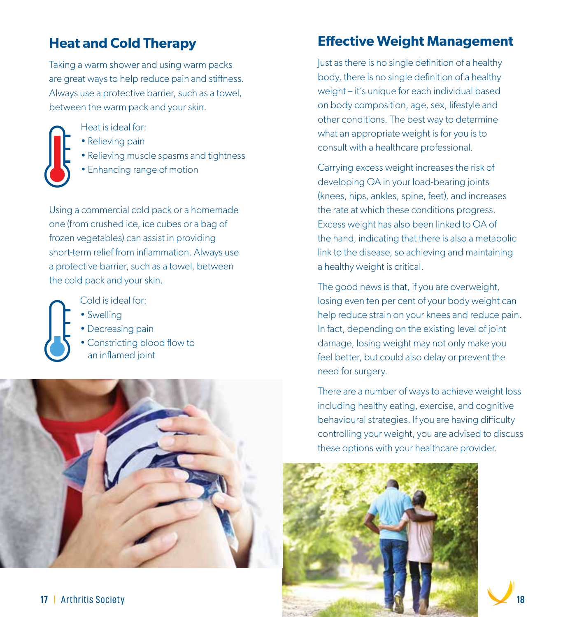# **Heat and Cold Therapy**

Taking a warm shower and using warm packs are great ways to help reduce pain and stiffness. Always use a protective barrier, such as a towel, between the warm pack and your skin.



Heat is ideal for:

- Relieving pain
- Relieving muscle spasms and tightness
- Enhancing range of motion

Using a commercial cold pack or a homemade one (from crushed ice, ice cubes or a bag of frozen vegetables) can assist in providing short-term relief from inflammation. Always use a protective barrier, such as a towel, between the cold pack and your skin.



Cold is ideal for:

- Swelling
- Decreasing pain
- Constricting blood flow to an inflamed joint



# **Effective Weight Management**

Just as there is no single definition of a healthy body, there is no single definition of a healthy weight – it's unique for each individual based on body composition, age, sex, lifestyle and other conditions. The best way to determine what an appropriate weight is for you is to consult with a healthcare professional.

Carrying excess weight increases the risk of developing OA in your load-bearing joints (knees, hips, ankles, spine, feet), and increases the rate at which these conditions progress. Excess weight has also been linked to OA of the hand, indicating that there is also a metabolic link to the disease, so achieving and maintaining a healthy weight is critical.

The good news is that, if you are overweight, losing even ten per cent of your body weight can help reduce strain on your knees and reduce pain. In fact, depending on the existing level of joint damage, losing weight may not only make you feel better, but could also delay or prevent the need for surgery.

There are a number of ways to achieve weight loss including healthy eating, exercise, and cognitive behavioural strategies. If you are having difficulty controlling your weight, you are advised to discuss these options with your healthcare provider.

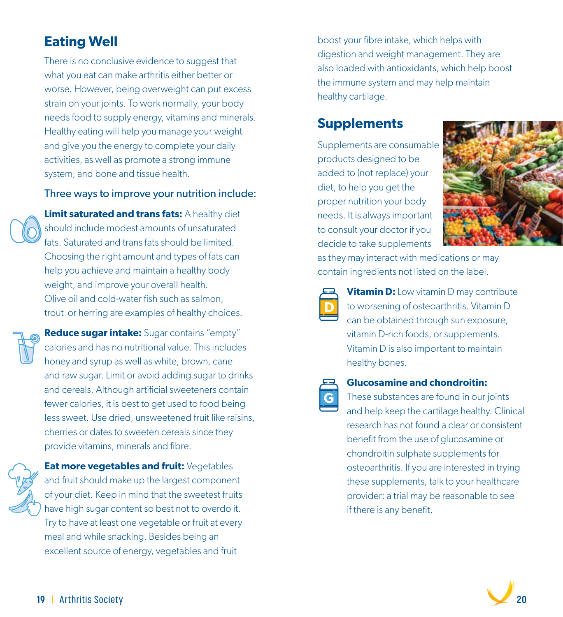# **Eating Well**

There is no conclusive evidence to suggest that what you eat can make arthritis either better or worse. However, being overweight can put excess strain on your joints. To work normally, your body needs food to supply energy, vitamins and minerals. Healthy eating will help you manage your weight and give you the energy to complete your daily activities, as well as promote a strong immune system, and bone and tissue health.

#### Three ways to improve your nutrition include:

**Limit saturated and trans fats:** A healthy diet should include modest amounts of unsaturated fats. Saturated and trans fats should be limited. Choosing the right amount and types of fats can help you achieve and maintain a healthy body weight, and improve your overall health. Olive oil and cold-water fish such as salmon, trout or herring are examples of healthy choices.

**Reduce sugar intake:** Sugar contains "empty" calories and has no nutritional value. This includes honey and syrup as well as white, brown, cane and raw sugar. Limit or avoid adding sugar to drinks and cereals. Although artificial sweeteners contain fewer calories, it is best to get used to food being less sweet. Use dried, unsweetened fruit like raisins, cherries or dates to sweeten cereals since they provide vitamins, minerals and fibre.



**Eat more vegetables and fruit:** Vegetables and fruit should make up the largest component of your diet. Keep in mind that the sweetest fruits have high sugar content so best not to overdo it. Try to have at least one vegetable or fruit at every meal and while snacking. Besides being an excellent source of energy, vegetables and fruit

boost your fibre intake, which helps with digestion and weight management. They are also loaded with antioxidants, which help boost the immune system and may help maintain healthy cartilage.

# **Supplements**

Supplements are consumable products designed to be added to (not replace) your diet, to help you get the proper nutrition your body needs. It is always important to consult your doctor if you decide to take supplements



as they may interact with medications or may contain ingredients not listed on the label.



**Vitamin D:** Low vitamin D may contribute to worsening of osteoarthritis. Vitamin D can be obtained through sun exposure, vitamin D-rich foods, or supplements. Vitamin D is also important to maintain healthy bones.



#### **Glucosamine and chondroitin:**

 These substances are found in our joints and help keep the cartilage healthy. Clinical research has not found a clear or consistent benefit from the use of glucosamine or chondroitin sulphate supplements for osteoarthritis. If you are interested in trying these supplements, talk to your healthcare provider: a trial may be reasonable to see if there is any benefit.

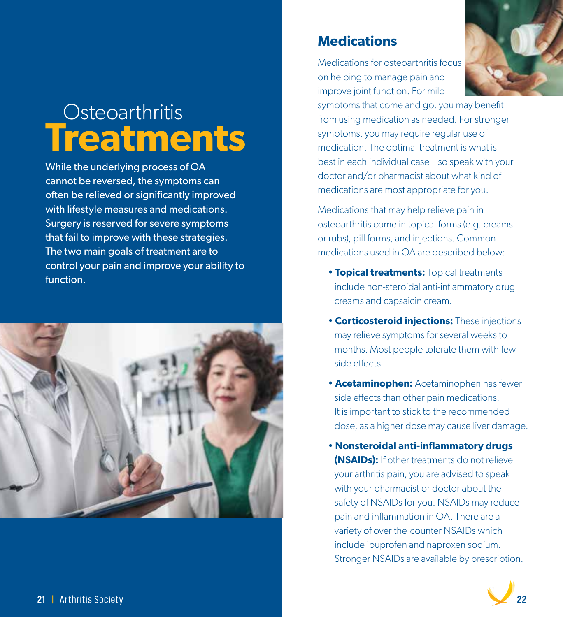# **Osteoarthritis Treatments**

While the underlying process of OA cannot be reversed, the symptoms can often be relieved or significantly improved with lifestyle measures and medications. Surgery is reserved for severe symptoms that fail to improve with these strategies. The two main goals of treatment are to control your pain and improve your ability to function.



#### **Medications**

Medications for osteoarthritis focus on helping to manage pain and improve joint function. For mild



symptoms that come and go, you may benefit from using medication as needed. For stronger symptoms, you may require regular use of medication. The optimal treatment is what is best in each individual case – so speak with your doctor and/or pharmacist about what kind of medications are most appropriate for you.

Medications that may help relieve pain in osteoarthritis come in topical forms (e.g. creams or rubs), pill forms, and injections. Common medications used in OA are described below:

- **Topical treatments:** Topical treatments include non-steroidal anti-inflammatory drug creams and capsaicin cream.
- **Corticosteroid injections:** These injections may relieve symptoms for several weeks to months. Most people tolerate them with few side effects.
- **Acetaminophen:** Acetaminophen has fewer side effects than other pain medications. It is important to stick to the recommended dose, as a higher dose may cause liver damage.
- **Nonsteroidal anti-inflammatory drugs (NSAIDs):** If other treatments do not relieve your arthritis pain, you are advised to speak with your pharmacist or doctor about the safety of NSAIDs for you. NSAIDs may reduce pain and inflammation in OA. There are a variety of over-the-counter NSAIDs which include ibuprofen and naproxen sodium. Stronger NSAIDs are available by prescription.

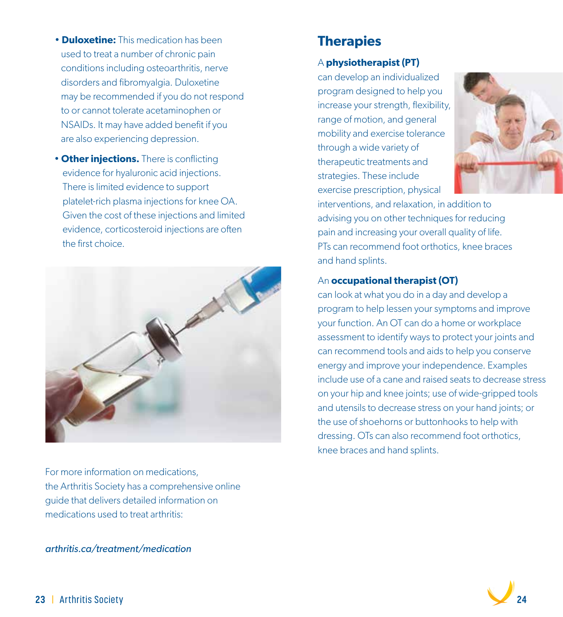- **Duloxetine:** This medication has been used to treat a number of chronic pain conditions including osteoarthritis, nerve disorders and fibromyalgia. Duloxetine may be recommended if you do not respond to or cannot tolerate acetaminophen or NSAIDs. It may have added benefit if you are also experiencing depression.
- **Other injections.** There is conflicting evidence for hyaluronic acid injections. There is limited evidence to support platelet-rich plasma injections for knee OA. Given the cost of these injections and limited evidence, corticosteroid injections are often the first choice.



For more information on medications, the Arthritis Society has a comprehensive online guide that delivers detailed information on medications used to treat arthritis:

*arthritis.ca/treatment/medication*

#### **Therapies**

#### A **physiotherapist (PT)**

can develop an individualized program designed to help you increase your strength, flexibility, range of motion, and general mobility and exercise tolerance through a wide variety of therapeutic treatments and strategies. These include exercise prescription, physical



interventions, and relaxation, in addition to advising you on other techniques for reducing pain and increasing your overall quality of life. PTs can recommend foot orthotics, knee braces and hand splints.

#### An **occupational therapist (OT)**

can look at what you do in a day and develop a program to help lessen your symptoms and improve your function. An OT can do a home or workplace assessment to identify ways to protect your joints and can recommend tools and aids to help you conserve energy and improve your independence. Examples include use of a cane and raised seats to decrease stress on your hip and knee joints; use of wide-gripped tools and utensils to decrease stress on your hand joints; or the use of shoehorns or buttonhooks to help with dressing. OTs can also recommend foot orthotics, knee braces and hand splints.

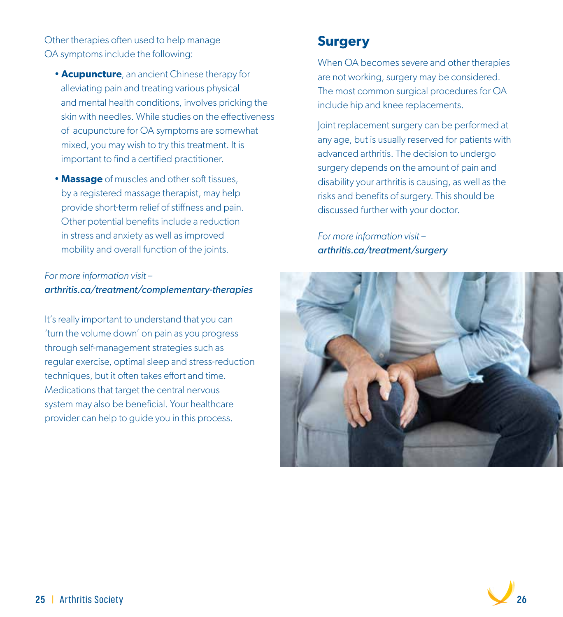Other therapies often used to help manage OA symptoms include the following:

- **Acupuncture**, an ancient Chinese therapy for alleviating pain and treating various physical and mental health conditions, involves pricking the skin with needles. While studies on the effectiveness of acupuncture for OA symptoms are somewhat mixed, you may wish to try this treatment. It is important to find a certified practitioner.
- **Massage** of muscles and other soft tissues, by a registered massage therapist, may help provide short-term relief of stiffness and pain. Other potential benefits include a reduction in stress and anxiety as well as improved mobility and overall function of the joints.

#### *For more information visit – arthritis.ca/treatment/complementary-therapies*

It's really important to understand that you can 'turn the volume down' on pain as you progress through self-management strategies such as regular exercise, optimal sleep and stress-reduction techniques, but it often takes effort and time. Medications that target the central nervous system may also be beneficial. Your healthcare provider can help to guide you in this process.

### **Surgery**

When OA becomes severe and other therapies are not working, surgery may be considered. The most common surgical procedures for OA include hip and knee replacements.

Joint replacement surgery can be performed at any age, but is usually reserved for patients with advanced arthritis. The decision to undergo surgery depends on the amount of pain and disability your arthritis is causing, as well as the risks and benefits of surgery. This should be discussed further with your doctor.

*For more information visit – arthritis.ca/treatment/surgery*